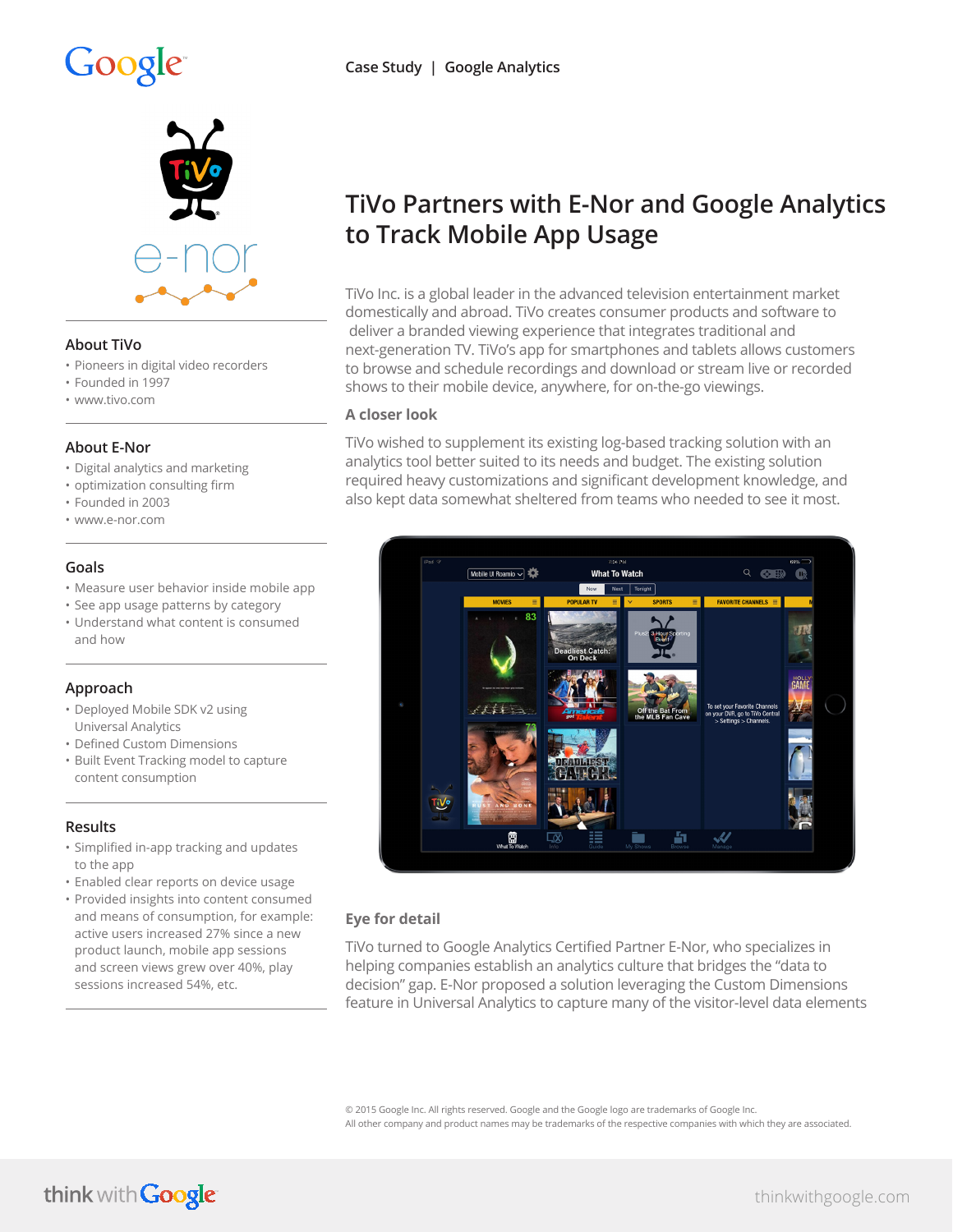# Google



### **About TiVo**

- Pioneers in digital video recorders
- Founded in 1997
- www.tivo.com

### **About E-Nor**

- Digital analytics and marketing
- optimization consulting firm
- Founded in 2003
- www.e-nor.com

### **Goals**

- Measure user behavior inside mobile app
- See app usage patterns by category • Understand what content is consumed and how

### **Approach**

- Deployed Mobile SDK v2 using Universal Analytics
- Defined Custom Dimensions
- Built Event Tracking model to capture content consumption

### **Results**

- Simplified in-app tracking and updates to the app
- Enabled clear reports on device usage
- Provided insights into content consumed and means of consumption, for example: active users increased 27% since a new product launch, mobile app sessions and screen views grew over 40%, play sessions increased 54%, etc.

# **TiVo Partners with E-Nor and Google Analytics to Track Mobile App Usage**

TiVo Inc. is a global leader in the advanced television entertainment market domestically and abroad. TiVo creates consumer products and software to deliver a branded viewing experience that integrates traditional and next-generation TV. TiVo's app for smartphones and tablets allows customers to browse and schedule recordings and download or stream live or recorded shows to their mobile device, anywhere, for on-the-go viewings.

### **A closer look**

TiVo wished to supplement its existing log-based tracking solution with an analytics tool better suited to its needs and budget. The existing solution required heavy customizations and significant development knowledge, and also kept data somewhat sheltered from teams who needed to see it most.



## **Eye for detail**

TiVo turned to Google Analytics Certified Partner E-Nor, who specializes in helping companies establish an analytics culture that bridges the "data to decision" gap. E-Nor proposed a solution leveraging the Custom Dimensions feature in Universal Analytics to capture many of the visitor-level data elements

© 2015 Google Inc. All rights reserved. Google and the Google logo are trademarks of Google Inc. All other company and product names may be trademarks of the respective companies with which they are associated.